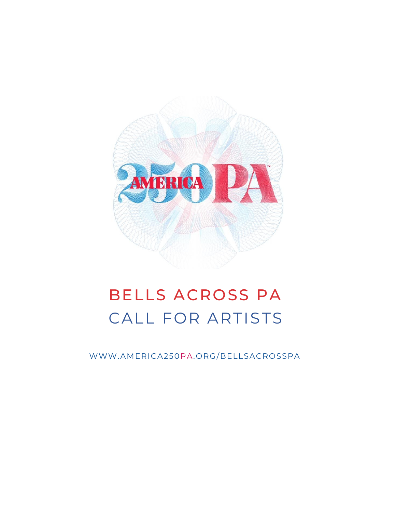

# BELLS ACROSS PA CALL FOR ARTISTS

WWW.AMERICA250PA.ORG/BELLSACROSSPA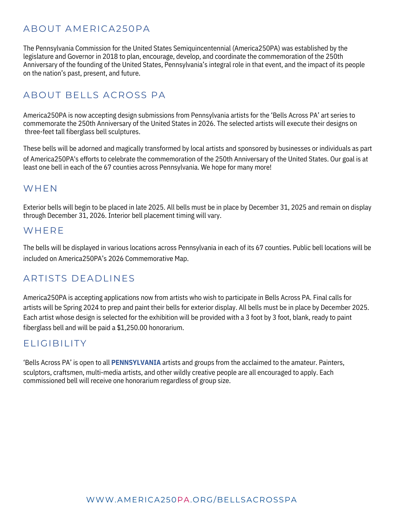### ABOUT AMERICA250PA

The Pennsylvania Commission for the United States Semiquincentennial (America250PA) was established by the legislature and Governor in 2018 to plan, encourage, develop, and coordinate the commemoration of the 250th Anniversary of the founding of the United States, Pennsylvania's integral role in that event, and the impact of its people on the nation's past, present, and future.

### ABOUT BELLS ACROSS PA

America250PA is now accepting design submissions from Pennsylvania artists for the 'Bells Across PA' art series to commemorate the 250th Anniversary of the United States in 2026. The selected artists will execute their designs on three-feet tall fiberglass bell sculptures.

These bells will be adorned and magically transformed by local artists and sponsored by businesses or individuals as part of America250PA's efforts to celebrate the commemoration of the 250th Anniversary of the United States. Our goal is at least one bell in each of the 67 counties across Pennsylvania. We hope for many more!

#### **WHEN**

Exterior bells will begin to be placed in late 2025. All bells must be in place by December 31, 2025 and remain on display through December 31, 2026. Interior bell placement timing will vary.

#### **WHFRF**

The bells will be displayed in various locations across Pennsylvania in each of its 67 counties. Public bell locations will be included on America250PA's 2026 Commemorative Map.

#### ARTISTS DEADLINES

America250PA is accepting applications now from artists who wish to participate in Bells Across PA. Final calls for artists will be Spring 2024 to prep and paint their bells for exterior display. All bells must be in place by December 2025. Each artist whose design is selected for the exhibition will be provided with a 3 foot by 3 foot, blank, ready to paint fiberglass bell and will be paid a \$1,250.00 honorarium.

#### ELIGIBILITY

'Bells Across PA' is open to all **PENNSYLVANIA** artists and groups from the acclaimed to the amateur. Painters, sculptors, craftsmen, multi-media artists, and other wildly creative people are all encouraged to apply. Each commissioned bell will receive one honorarium regardless of group size.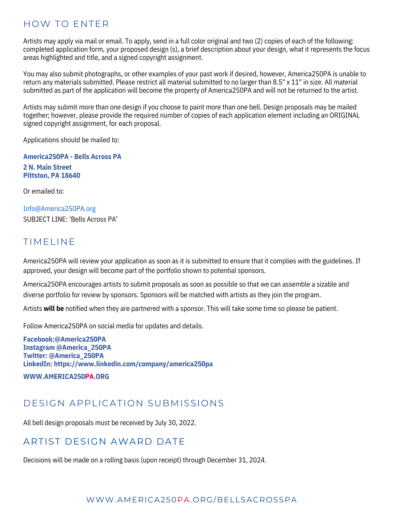#### HOW TO ENTER

Artists may apply via mail or email. To apply, send in a full color original and two (2) copies of each of the following: completed application form, your proposed design (s), a brief description about your design, what it represents the focus areas highlighted and title, and a signed copyright assignment.

You may also submit photographs, or other examples of your past work if desired, however, America250PA is unable to return any materials submitted. Please restrict all material submitted to no larger than 8.5" x 11" in size. All material submitted as part of the application will become the property of America250PA and will not be returned to the artist.

Artists may submit more than one design if you choose to paint more than one bell. Design proposals may be mailed together; however, please provide the required number of copies of each application element including an ORIGINAL signed copyright assignment, for each proposal.

Applications should be mailed to:

**America250PA - Bells Across PA 2 N. Main Street Pittston, PA 18640**

Or emailed to:

Info@America250PA.org SUBJECT LINE: 'Bells Across PA'

#### TIMELINE

America250PA will review your application as soon as it is submitted to ensure that it complies with the guidelines. If approved, your design will become part of the portfolio shown to potential sponsors.

America250PA encourages artists to submit proposals as soon as possible so that we can assemble a sizable and diverse portfolio for review by sponsors. Sponsors will be matched with artists as they join the program.

Artists **will be** notified when they are partnered with a sponsor. This will take some time so please be patient.

Follow America250PA on social media for updates and details.

**Facebook:@America250PA Instagram @America\_250PA Twitter: @America\_250PA LinkedIn: https://www.linkedin.com/company/america250pa**

**WWW.AMERICA250PA.ORG**

#### DESIGN APPLICATION SUBMISSIONS

All bell design proposals must be received by July 30, 2022.

#### ARTIST DESIGN AWARD DATE

Decisions will be made on a rolling basis (upon receipt) through December 31, 2024.

#### WWW.AMERICA250PA.ORG/BELLSACROSSPA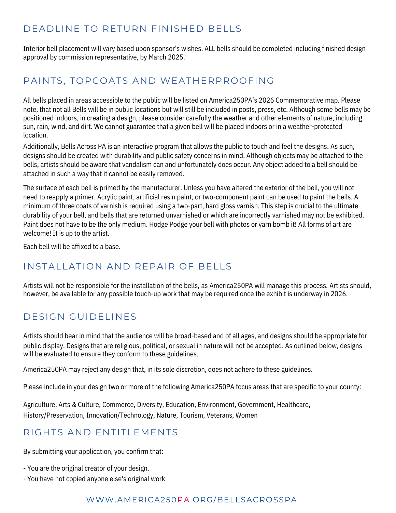### DEADLINE TO RETURN FINISHED BELLS

Interior bell placement will vary based upon sponsor's wishes. ALL bells should be completed including finished design approval by commission representative, by March 2025.

### PAINTS, TOPCOATS AND WEATHERPROOFING

All bells placed in areas accessible to the public will be listed on America250PA's 2026 Commemorative map. Please note, that not all Bells will be in public locations but will still be included in posts, press, etc. Although some bells may be positioned indoors, in creating a design, please consider carefully the weather and other elements of nature, including sun, rain, wind, and dirt. We cannot guarantee that a given bell will be placed indoors or in a weather-protected location.

Additionally, Bells Across PA is an interactive program that allows the public to touch and feel the designs**.** As such, designs should be created with durability and public safety concerns in mind. Although objects may be attached to the bells, artists should be aware that vandalism can and unfortunately does occur. Any object added to a bell should be attached in such a way that it cannot be easily removed.

The surface of each bell is primed by the manufacturer. Unless you have altered the exterior of the bell, you will not need to reapply a primer. Acrylic paint, artificial resin paint, or two-component paint can be used to paint the bells. A minimum of three coats of varnish is required using a two-part, hard gloss varnish. This step is crucial to the ultimate durability of your bell, and bells that are returned unvarnished or which are incorrectly varnished may not be exhibited. Paint does not have to be the only medium. Hodge Podge your bell with photos or yarn bomb it! All forms of art are welcome! It is up to the artist.

Each bell will be affixed to a base.

#### INSTALLATION AND REPAIR OF BELLS

Artists will not be responsible for the installation of the bells, as America250PA will manage this process. Artists should, however, be available for any possible touch-up work that may be required once the exhibit is underway in 2026.

### DESIGN GUIDELINES

Artists should bear in mind that the audience will be broad-based and of all ages, and designs should be appropriate for public display. Designs that are religious, political, or sexual in nature will not be accepted. As outlined below, designs will be evaluated to ensure they conform to these guidelines.

America250PA may reject any design that, in its sole discretion, does not adhere to these guidelines.

Please include in your design two or more of the following America250PA focus areas that are specific to your county:

Agriculture, Arts & Culture, Commerce, Diversity, Education, Environment, Government, Healthcare, History/Preservation, Innovation/Technology, Nature, Tourism, Veterans, Women

#### RIGHTS AND ENTITLEMENTS

By submitting your application, you confirm that:

- You are the original creator of your design.
- You have not copied anyone else's original work

#### WWW.AMERICA250PA.ORG/BELLSACROSSPA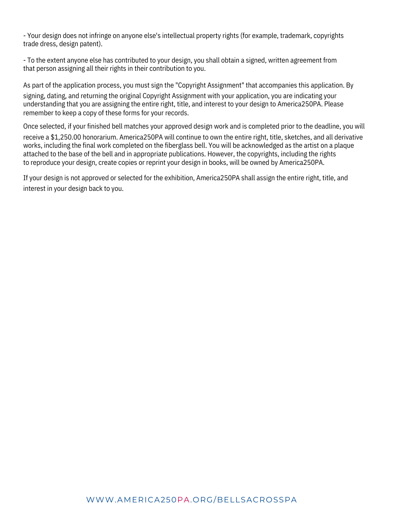- Your design does not infringe on anyone else's intellectual property rights (for example, trademark, copyrights trade dress, design patent).

- To the extent anyone else has contributed to your design, you shall obtain a signed, written agreement from that person assigning all their rights in their contribution to you.

As part of the application process, you must sign the "Copyright Assignment" that accompanies this application. By signing, dating, and returning the original Copyright Assignment with your application, you are indicating your understanding that you are assigning the entire right, title, and interest to your design to America250PA. Please remember to keep a copy of these forms for your records.

Once selected, if your finished bell matches your approved design work and is completed prior to the deadline, you will receive a \$1,250.00 honorarium. America250PA will continue to own the entire right, title, sketches, and all derivative works, including the final work completed on the fiberglass bell. You will be acknowledged as the artist on a plaque attached to the base of the bell and in appropriate publications. However, the copyrights, including the rights to reproduce your design, create copies or reprint your design in books, will be owned by America250PA.

If your design is not approved or selected for the exhibition, America250PA shall assign the entire right, title, and interest in your design back to you.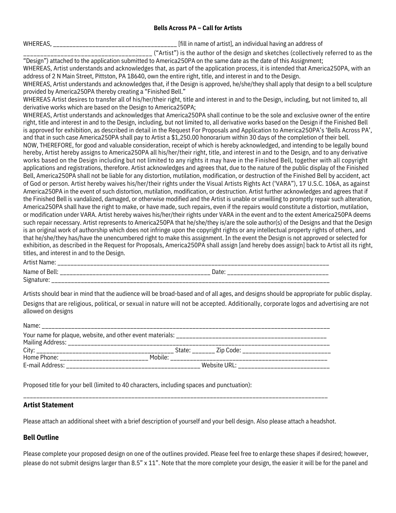#### **Bells Across PA – Call for Artists**

WHEREAS, **whereas**, **whereas** and the state of activities of string and address of  $\frac{1}{2}$  and  $\frac{1}{2}$  and  $\frac{1}{2}$  and  $\frac{1}{2}$  and  $\frac{1}{2}$  and  $\frac{1}{2}$  and  $\frac{1}{2}$  and  $\frac{1}{2}$  and  $\frac{1}{2}$  and  $\frac{1}{2}$  and

\_\_\_\_\_\_\_\_\_\_\_\_\_\_\_\_\_\_\_\_\_\_\_\_\_\_\_\_\_\_\_\_\_\_\_\_\_\_ ("Artist") is the author of the design and sketches (collectively referred to as the "Design") attached to the application submitted to America250PA on the same date as the date of this Assignment;

WHEREAS, Artist understands and acknowledges that, as part of the application process, it is intended that America250PA, with an address of 2 N Main Street, Pittston, PA 18640, own the entire right, title, and interest in and to the Design.

WHEREAS, Artist understands and acknowledges that, if the Design is approved, he/she/they shall apply that design to a bell sculpture provided by America250PA thereby creating a "Finished Bell."

WHEREAS Artist desires to transfer all of his/her/their right, title and interest in and to the Design, including, but not limited to, all derivative works which are based on the Design to America250PA;

WHEREAS, Artist understands and acknowledges that America250PA shall continue to be the sole and exclusive owner of the entire right, title and interest in and to the Design, including, but not limited to, all derivative works based on the Design if the Finished Bell is approved for exhibition, as described in detail in the Request For Proposals and Application to America250PA's 'Bells Across PA', and that in such case America250PA shall pay to Artist a \$1,250.00 honorarium within 30 days of the completion of their bell. NOW, THEREFORE, for good and valuable consideration, receipt of which is hereby acknowledged, and intending to be legally bound hereby, Artist hereby assigns to America250PA all his/her/their right, title, and interest in and to the Design, and to any derivative works based on the Design including but not limited to any rights it may have in the Finished Bell, together with all copyright applications and registrations, therefore. Artist acknowledges and agrees that, due to the nature of the public display of the Finished Bell, America250PA shall not be liable for any distortion, mutilation, modification, or destruction of the Finished Bell by accident, act of God or person. Artist hereby waives his/her/their rights under the Visual Artists Rights Act ('VARA"), 17 U.S.C. 106A, as against America250PA in the event of such distortion, mutilation, modification, or destruction. Artist further acknowledges and agrees that if the Finished Bell is vandalized, damaged, or otherwise modified and the Artist is unable or unwilling to promptly repair such alteration,

America250PA shall have the right to make, or have made, such repairs, even if the repairs would constitute a distortion, mutilation, or modification under VARA. Artist hereby waives his/her/their rights under VARA in the event and to the extent America250PA deems such repair necessary. Artist represents to America250PA that he/she/they is/are the sole author(s) of the Designs and that the Design is an original work of authorship which does not infringe upon the copyright rights or any intellectual property rights of others, and that he/she/they has/have the unencumbered right to make this assignment. In the event the Design is not approved or selected for exhibition, as described in the Request for Proposals, America250PA shall assign [and hereby does assign] back to Artist all its right, titles, and interest in and to the Design.

|  | Artist Name: |
|--|--------------|
|--|--------------|

| Artist Name:           |               |
|------------------------|---------------|
| Name of Bell:<br>$- -$ | Date          |
| Signature:             | _____________ |

Artists should bear in mind that the audience will be broad-based and of all ages, and designs should be appropriate for public display. Designs that are religious, political, or sexual in nature will not be accepted. Additionally, corporate logos and advertising are not allowed on designs

| Name:                                                                                                                                                                                                                          |                     |              |                            |
|--------------------------------------------------------------------------------------------------------------------------------------------------------------------------------------------------------------------------------|---------------------|--------------|----------------------------|
| Your name for plaque, website, and other event materials: ______________________                                                                                                                                               |                     |              |                            |
|                                                                                                                                                                                                                                |                     |              |                            |
|                                                                                                                                                                                                                                |                     |              | State: Zip Code: Zip Code: |
| Home Phone: The Contract of the Contract of the Contract of the Contract of the Contract of the Contract of the Contract of the Contract of the Contract of the Contract of the Contract of the Contract of the Contract of th | Mobile <sup>.</sup> |              |                            |
| E-mail Address:                                                                                                                                                                                                                |                     | Website URL: |                            |

Proposed title for your bell (limited to 40 characters, including spaces and punctuation):

#### **Artist Statement**

Please attach an additional sheet with a brief description of yourself and your bell design. Also please attach a headshot.

\_\_\_\_\_\_\_\_\_\_\_\_\_\_\_\_\_\_\_\_\_\_\_\_\_\_\_\_\_\_\_\_\_\_\_\_\_\_\_\_\_\_\_\_\_\_\_\_\_\_\_\_\_\_\_\_\_\_\_\_\_\_\_\_\_\_\_\_\_\_\_\_\_\_\_\_\_\_\_\_\_\_\_\_\_\_\_\_\_\_\_\_\_

#### **Bell Outline**

Please complete your proposed design on one of the outlines provided. Please feel free to enlarge these shapes if desired; however, please do not submit designs larger than 8.5" x 11". Note that the more complete your design, the easier it will be for the panel and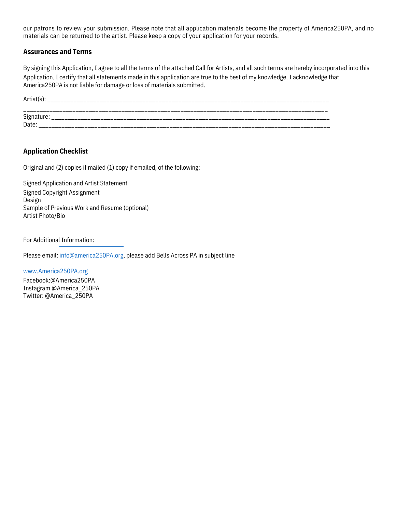our patrons to review your submission. Please note that all application materials become the property of America250PA, and no materials can be returned to the artist. Please keep a copy of your application for your records.

#### **Assurances and Terms**

By signing this Application, I agree to all the terms of the attached Call for Artists, and all such terms are hereby incorporated into this Application. I certify that all statements made in this application are true to the best of my knowledge. I acknowledge that America250PA is not liable for damage or loss of materials submitted.

Artist(s): \_\_\_\_\_\_\_\_\_\_\_\_\_\_\_\_\_\_\_\_\_\_\_\_\_\_\_\_\_\_\_\_\_\_\_\_\_\_\_\_\_\_\_\_\_\_\_\_\_\_\_\_\_\_\_\_\_\_\_\_\_\_\_\_\_\_\_\_\_\_\_\_\_\_\_\_\_\_\_\_\_\_\_\_\_\_ \_\_\_\_\_\_\_\_\_\_\_\_\_\_\_\_\_\_\_\_\_\_\_\_\_\_\_\_\_\_\_\_\_\_\_\_\_\_\_\_\_\_\_\_\_\_\_\_\_\_\_\_\_\_\_\_\_\_\_\_\_\_\_\_\_\_\_\_\_\_\_\_\_\_\_\_\_\_\_\_\_\_\_\_\_\_\_\_\_\_\_\_\_ Signature: \_\_\_\_\_\_\_\_\_\_\_\_\_\_\_\_\_\_\_\_\_\_\_\_\_\_\_\_\_\_\_\_\_\_\_\_\_\_\_\_\_\_\_\_\_\_\_\_\_\_\_\_\_\_\_\_\_\_\_\_\_\_\_\_\_\_\_\_\_\_\_\_\_\_\_\_\_\_\_\_\_\_\_\_\_ Date: \_\_\_\_\_\_\_\_\_\_\_\_\_\_\_\_\_\_\_\_\_\_\_\_\_\_\_\_\_\_\_\_\_\_\_\_\_\_\_\_\_\_\_\_\_\_\_\_\_\_\_\_\_\_\_\_\_\_\_\_\_\_\_\_\_\_\_\_\_\_\_\_\_\_\_\_\_\_\_\_\_\_\_\_\_\_\_\_\_

#### **Application Checklist**

Original and (2) copies if mailed (1) copy if emailed, of the following:

Signed Application and Artist Statement Signed Copyright Assignment Design Sample of Previous Work and Resume (optional) Artist Photo/Bio

For Additional Information:

Please email: info@america250PA.org, please add Bells Across PA in subject line

www.America250PA.org Facebook:@America250PA Instagram @America\_250PA Twitter: @America\_250PA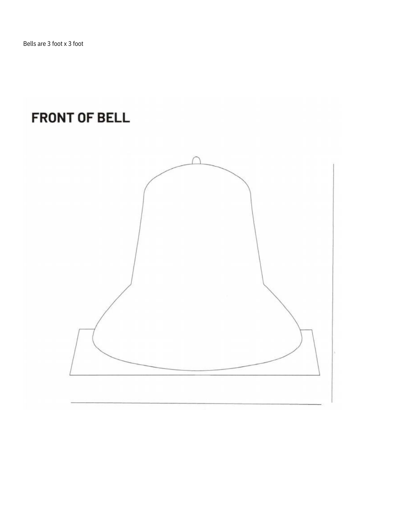## **FRONT OF BELL**